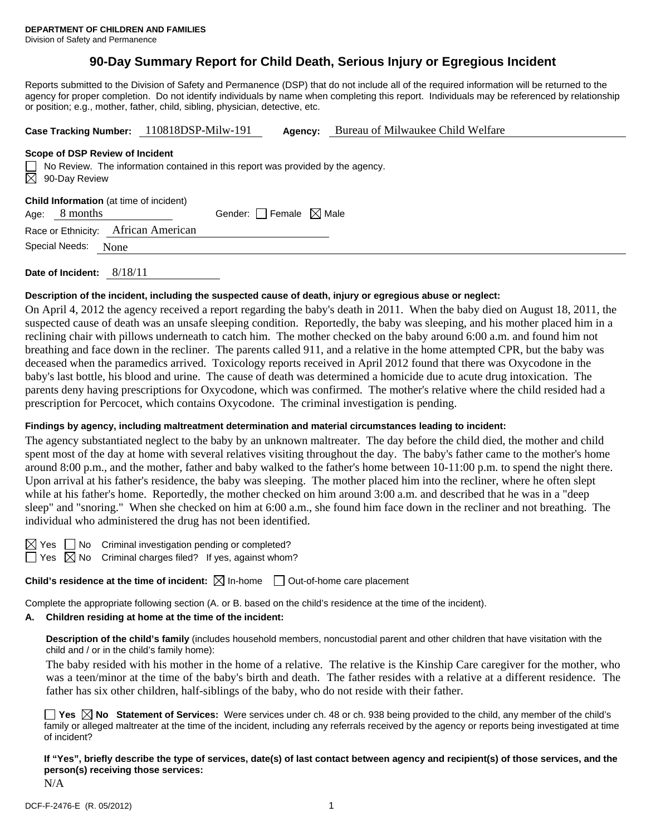# **90-Day Summary Report for Child Death, Serious Injury or Egregious Incident**

Reports submitted to the Division of Safety and Permanence (DSP) that do not include all of the required information will be returned to the agency for proper completion. Do not identify individuals by name when completing this report. Individuals may be referenced by relationship or position; e.g., mother, father, child, sibling, physician, detective, etc.

| Case Tracking Number: 110818DSP-Milw-191                                                                            |                                 | Agency: | Bureau of Milwaukee Child Welfare |  |  |  |  |
|---------------------------------------------------------------------------------------------------------------------|---------------------------------|---------|-----------------------------------|--|--|--|--|
| Scope of DSP Review of Incident                                                                                     |                                 |         |                                   |  |  |  |  |
| $\Box$ No Review. The information contained in this report was provided by the agency.<br>$\boxtimes$ 90-Day Review |                                 |         |                                   |  |  |  |  |
| <b>Child Information</b> (at time of incident)<br>8 months<br>Age:                                                  | Gender: Female $\boxtimes$ Male |         |                                   |  |  |  |  |
| Race or Ethnicity:                                                                                                  | African American                |         |                                   |  |  |  |  |
| Special Needs:<br>None                                                                                              |                                 |         |                                   |  |  |  |  |
| 8/18/11<br>Date of Incident:                                                                                        |                                 |         |                                   |  |  |  |  |

#### **Description of the incident, including the suspected cause of death, injury or egregious abuse or neglect:**

On April 4, 2012 the agency received a report regarding the baby's death in 2011. When the baby died on August 18, 2011, the suspected cause of death was an unsafe sleeping condition. Reportedly, the baby was sleeping, and his mother placed him in a reclining chair with pillows underneath to catch him. The mother checked on the baby around 6:00 a.m. and found him not breathing and face down in the recliner. The parents called 911, and a relative in the home attempted CPR, but the baby was deceased when the paramedics arrived. Toxicology reports received in April 2012 found that there was Oxycodone in the baby's last bottle, his blood and urine. The cause of death was determined a homicide due to acute drug intoxication. The parents deny having prescriptions for Oxycodone, which was confirmed. The mother's relative where the child resided had a prescription for Percocet, which contains Oxycodone. The criminal investigation is pending.

## **Findings by agency, including maltreatment determination and material circumstances leading to incident:**

The agency substantiated neglect to the baby by an unknown maltreater. The day before the child died, the mother and child spent most of the day at home with several relatives visiting throughout the day. The baby's father came to the mother's home around 8:00 p.m., and the mother, father and baby walked to the father's home between 10-11:00 p.m. to spend the night there. Upon arrival at his father's residence, the baby was sleeping. The mother placed him into the recliner, where he often slept while at his father's home. Reportedly, the mother checked on him around 3:00 a.m. and described that he was in a "deep" sleep" and "snoring." When she checked on him at 6:00 a.m., she found him face down in the recliner and not breathing. The individual who administered the drug has not been identified.

|  | I |
|--|---|
|  | I |

 $\Box$  No Criminal investigation pending or completed? Yes  $\overline{\boxtimes}$  No Criminal charges filed? If yes, against whom?

**Child's residence at the time of incident:**  $\boxtimes$  In-home  $\Box$  Out-of-home care placement

Complete the appropriate following section (A. or B. based on the child's residence at the time of the incident).

## **A. Children residing at home at the time of the incident:**

**Description of the child's family** (includes household members, noncustodial parent and other children that have visitation with the child and / or in the child's family home):

The baby resided with his mother in the home of a relative. The relative is the Kinship Care caregiver for the mother, who was a teen/minor at the time of the baby's birth and death. The father resides with a relative at a different residence. The father has six other children, half-siblings of the baby, who do not reside with their father.

■ Yes **No** Statement of Services: Were services under ch. 48 or ch. 938 being provided to the child, any member of the child's family or alleged maltreater at the time of the incident, including any referrals received by the agency or reports being investigated at time of incident?

**If "Yes", briefly describe the type of services, date(s) of last contact between agency and recipient(s) of those services, and the person(s) receiving those services:**  N/A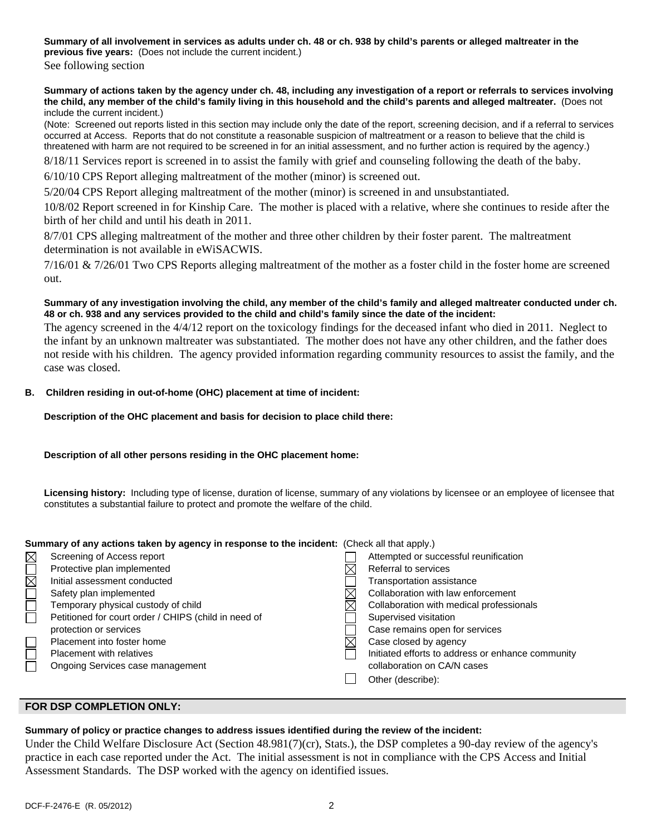**Summary of all involvement in services as adults under ch. 48 or ch. 938 by child's parents or alleged maltreater in the previous five years:** (Does not include the current incident.)

See following section

**Summary of actions taken by the agency under ch. 48, including any investigation of a report or referrals to services involving the child, any member of the child's family living in this household and the child's parents and alleged maltreater.** (Does not include the current incident.)

(Note: Screened out reports listed in this section may include only the date of the report, screening decision, and if a referral to services occurred at Access. Reports that do not constitute a reasonable suspicion of maltreatment or a reason to believe that the child is threatened with harm are not required to be screened in for an initial assessment, and no further action is required by the agency.)

8/18/11 Services report is screened in to assist the family with grief and counseling following the death of the baby.

6/10/10 CPS Report alleging maltreatment of the mother (minor) is screened out.

5/20/04 CPS Report alleging maltreatment of the mother (minor) is screened in and unsubstantiated.

10/8/02 Report screened in for Kinship Care. The mother is placed with a relative, where she continues to reside after the birth of her child and until his death in 2011.

8/7/01 CPS alleging maltreatment of the mother and three other children by their foster parent. The maltreatment determination is not available in eWiSACWIS.

 $7/16/01 \& 7/26/01$  Two CPS Reports alleging maltreatment of the mother as a foster child in the foster home are screened out.

## **Summary of any investigation involving the child, any member of the child's family and alleged maltreater conducted under ch. 48 or ch. 938 and any services provided to the child and child's family since the date of the incident:**

The agency screened in the 4/4/12 report on the toxicology findings for the deceased infant who died in 2011. Neglect to the infant by an unknown maltreater was substantiated. The mother does not have any other children, and the father does not reside with his children. The agency provided information regarding community resources to assist the family, and the case was closed.

## **B. Children residing in out-of-home (OHC) placement at time of incident:**

#### **Description of the OHC placement and basis for decision to place child there:**

## **Description of all other persons residing in the OHC placement home:**

**Licensing history:** Including type of license, duration of license, summary of any violations by licensee or an employee of licensee that constitutes a substantial failure to protect and promote the welfare of the child.

| Summary of any actions taken by agency in response to the incident: (Check all that apply.) |                                                      |  |                                                   |  |  |
|---------------------------------------------------------------------------------------------|------------------------------------------------------|--|---------------------------------------------------|--|--|
| $\boxtimes$                                                                                 | Screening of Access report                           |  | Attempted or successful reunification             |  |  |
| $\overline{\boxtimes}$                                                                      | Protective plan implemented                          |  | Referral to services                              |  |  |
|                                                                                             | Initial assessment conducted                         |  | Transportation assistance                         |  |  |
|                                                                                             | Safety plan implemented                              |  | Collaboration with law enforcement                |  |  |
| $\Box$                                                                                      | Temporary physical custody of child                  |  | Collaboration with medical professionals          |  |  |
|                                                                                             | Petitioned for court order / CHIPS (child in need of |  | Supervised visitation                             |  |  |
|                                                                                             | protection or services                               |  | Case remains open for services                    |  |  |
|                                                                                             | Placement into foster home                           |  | Case closed by agency                             |  |  |
| $\Box$                                                                                      | Placement with relatives                             |  | Initiated efforts to address or enhance community |  |  |
|                                                                                             | Ongoing Services case management                     |  | collaboration on CA/N cases                       |  |  |
|                                                                                             |                                                      |  | Other (describe):                                 |  |  |

## **FOR DSP COMPLETION ONLY:**

## **Summary of policy or practice changes to address issues identified during the review of the incident:**

Under the Child Welfare Disclosure Act (Section 48.981(7)(cr), Stats.), the DSP completes a 90-day review of the agency's practice in each case reported under the Act. The initial assessment is not in compliance with the CPS Access and Initial Assessment Standards. The DSP worked with the agency on identified issues.